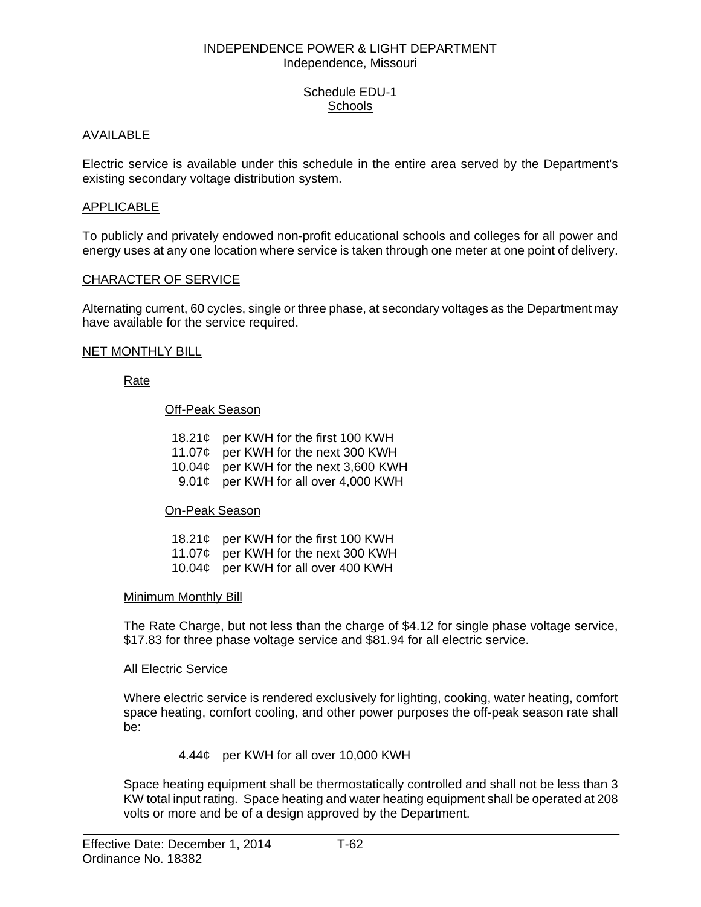### INDEPENDENCE POWER & LIGHT DEPARTMENT Independence, Missouri

# Schedule EDU-1 **Schools**

# AVAILABLE

Electric service is available under this schedule in the entire area served by the Department's existing secondary voltage distribution system.

# APPLICABLE

To publicly and privately endowed non-profit educational schools and colleges for all power and energy uses at any one location where service is taken through one meter at one point of delivery.

### CHARACTER OF SERVICE

Alternating current, 60 cycles, single or three phase, at secondary voltages as the Department may have available for the service required.

#### NET MONTHLY BILL

# Rate

# Off-Peak Season

- 18.21¢ per KWH for the first 100 KWH
- 11.07¢ per KWH for the next 300 KWH
- 10.04¢ per KWH for the next 3,600 KWH
- 9.01¢ per KWH for all over 4,000 KWH

# On-Peak Season

- 18.21¢ per KWH for the first 100 KWH
- 11.07¢ per KWH for the next 300 KWH
- 10.04¢ per KWH for all over 400 KWH

# Minimum Monthly Bill

 The Rate Charge, but not less than the charge of \$4.12 for single phase voltage service, \$17.83 for three phase voltage service and \$81.94 for all electric service.

#### All Electric Service

 Where electric service is rendered exclusively for lighting, cooking, water heating, comfort space heating, comfort cooling, and other power purposes the off-peak season rate shall be:

#### 4.44¢ per KWH for all over 10,000 KWH

 Space heating equipment shall be thermostatically controlled and shall not be less than 3 KW total input rating. Space heating and water heating equipment shall be operated at 208 volts or more and be of a design approved by the Department.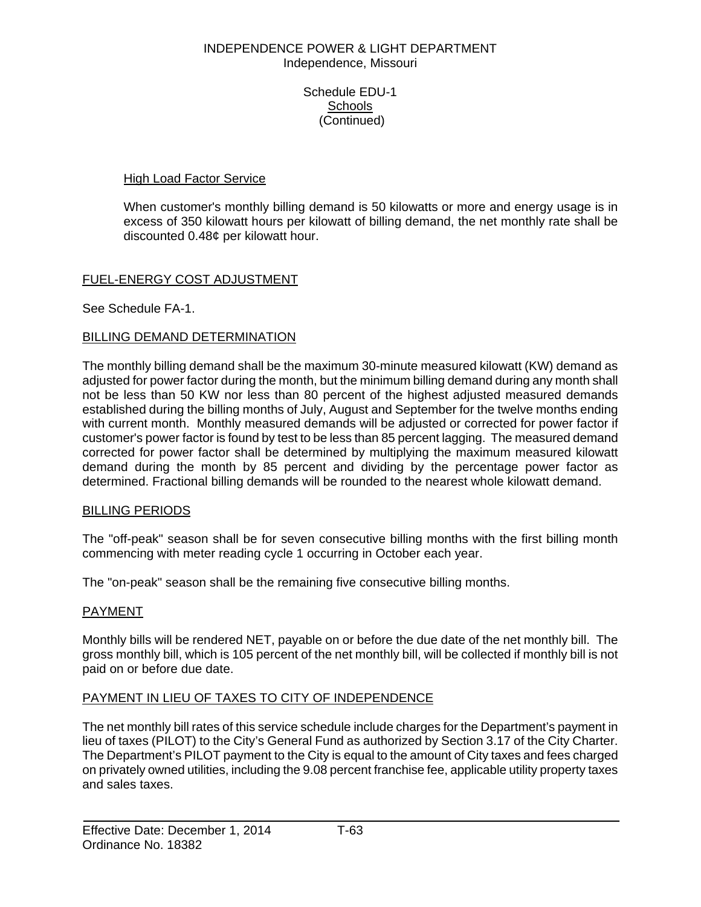## INDEPENDENCE POWER & LIGHT DEPARTMENT Independence, Missouri

Schedule EDU-1 **Schools** (Continued)

# High Load Factor Service

 When customer's monthly billing demand is 50 kilowatts or more and energy usage is in excess of 350 kilowatt hours per kilowatt of billing demand, the net monthly rate shall be discounted 0.48¢ per kilowatt hour.

# FUEL-ENERGY COST ADJUSTMENT

See Schedule FA-1.

# BILLING DEMAND DETERMINATION

The monthly billing demand shall be the maximum 30-minute measured kilowatt (KW) demand as adjusted for power factor during the month, but the minimum billing demand during any month shall not be less than 50 KW nor less than 80 percent of the highest adjusted measured demands established during the billing months of July, August and September for the twelve months ending with current month. Monthly measured demands will be adjusted or corrected for power factor if customer's power factor is found by test to be less than 85 percent lagging. The measured demand corrected for power factor shall be determined by multiplying the maximum measured kilowatt demand during the month by 85 percent and dividing by the percentage power factor as determined. Fractional billing demands will be rounded to the nearest whole kilowatt demand.

# BILLING PERIODS

The "off-peak" season shall be for seven consecutive billing months with the first billing month commencing with meter reading cycle 1 occurring in October each year.

The "on-peak" season shall be the remaining five consecutive billing months.

# PAYMENT

Monthly bills will be rendered NET, payable on or before the due date of the net monthly bill. The gross monthly bill, which is 105 percent of the net monthly bill, will be collected if monthly bill is not paid on or before due date.

# PAYMENT IN LIEU OF TAXES TO CITY OF INDEPENDENCE

The net monthly bill rates of this service schedule include charges for the Department's payment in lieu of taxes (PILOT) to the City's General Fund as authorized by Section 3.17 of the City Charter. The Department's PILOT payment to the City is equal to the amount of City taxes and fees charged on privately owned utilities, including the 9.08 percent franchise fee, applicable utility property taxes and sales taxes.